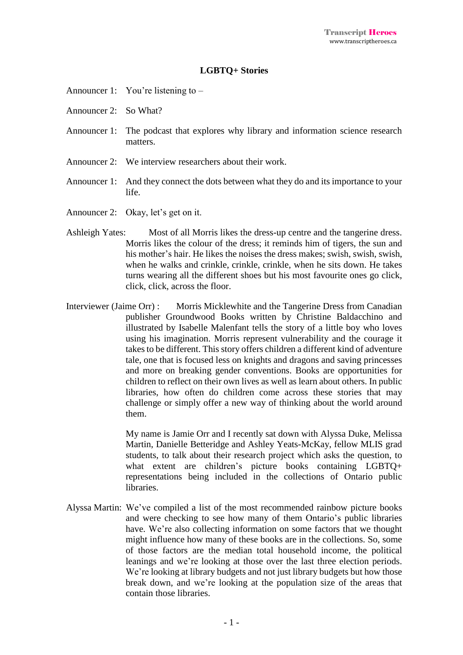## **LGBTQ+ Stories**

- Announcer 1: You're listening to –
- Announcer 2: So What?
- Announcer 1: The podcast that explores why library and information science research matters.
- Announcer 2: We interview researchers about their work.
- Announcer 1: And they connect the dots between what they do and its importance to your life.
- Announcer 2: Okay, let's get on it.
- Ashleigh Yates: Most of all Morris likes the dress-up centre and the tangerine dress. Morris likes the colour of the dress; it reminds him of tigers, the sun and his mother's hair. He likes the noises the dress makes; swish, swish, swish, when he walks and crinkle, crinkle, crinkle, when he sits down. He takes turns wearing all the different shoes but his most favourite ones go click, click, click, across the floor.
- Interviewer (Jaime Orr) : Morris Micklewhite and the Tangerine Dress from Canadian publisher Groundwood Books written by Christine Baldacchino and illustrated by Isabelle Malenfant tells the story of a little boy who loves using his imagination. Morris represent vulnerability and the courage it takesto be different. This story offers children a different kind of adventure tale, one that is focused less on knights and dragons and saving princesses and more on breaking gender conventions. Books are opportunities for children to reflect on their own lives as well as learn about others. In public libraries, how often do children come across these stories that may challenge or simply offer a new way of thinking about the world around them.

My name is Jamie Orr and I recently sat down with Alyssa Duke, Melissa Martin, Danielle Betteridge and Ashley Yeats-McKay, fellow MLIS grad students, to talk about their research project which asks the question, to what extent are children's picture books containing LGBTQ+ representations being included in the collections of Ontario public libraries.

Alyssa Martin: We've compiled a list of the most recommended rainbow picture books and were checking to see how many of them Ontario's public libraries have. We're also collecting information on some factors that we thought might influence how many of these books are in the collections. So, some of those factors are the median total household income, the political leanings and we're looking at those over the last three election periods. We're looking at library budgets and not just library budgets but how those break down, and we're looking at the population size of the areas that contain those libraries.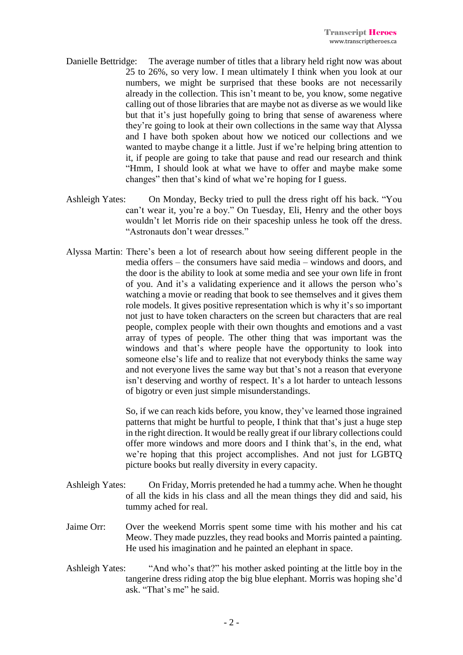- Danielle Bettridge: The average number of titles that a library held right now was about 25 to 26%, so very low. I mean ultimately I think when you look at our numbers, we might be surprised that these books are not necessarily already in the collection. This isn't meant to be, you know, some negative calling out of those libraries that are maybe not as diverse as we would like but that it's just hopefully going to bring that sense of awareness where they're going to look at their own collections in the same way that Alyssa and I have both spoken about how we noticed our collections and we wanted to maybe change it a little. Just if we're helping bring attention to it, if people are going to take that pause and read our research and think "Hmm, I should look at what we have to offer and maybe make some changes" then that's kind of what we're hoping for I guess.
- Ashleigh Yates: On Monday, Becky tried to pull the dress right off his back. "You can't wear it, you're a boy." On Tuesday, Eli, Henry and the other boys wouldn't let Morris ride on their spaceship unless he took off the dress. "Astronauts don't wear dresses."
- Alyssa Martin: There's been a lot of research about how seeing different people in the media offers – the consumers have said media – windows and doors, and the door is the ability to look at some media and see your own life in front of you. And it's a validating experience and it allows the person who's watching a movie or reading that book to see themselves and it gives them role models. It gives positive representation which is why it's so important not just to have token characters on the screen but characters that are real people, complex people with their own thoughts and emotions and a vast array of types of people. The other thing that was important was the windows and that's where people have the opportunity to look into someone else's life and to realize that not everybody thinks the same way and not everyone lives the same way but that's not a reason that everyone isn't deserving and worthy of respect. It's a lot harder to unteach lessons of bigotry or even just simple misunderstandings.

So, if we can reach kids before, you know, they've learned those ingrained patterns that might be hurtful to people, I think that that's just a huge step in the right direction. It would be really great if our library collections could offer more windows and more doors and I think that's, in the end, what we're hoping that this project accomplishes. And not just for LGBTQ picture books but really diversity in every capacity.

- Ashleigh Yates: On Friday, Morris pretended he had a tummy ache. When he thought of all the kids in his class and all the mean things they did and said, his tummy ached for real.
- Jaime Orr: Over the weekend Morris spent some time with his mother and his cat Meow. They made puzzles, they read books and Morris painted a painting. He used his imagination and he painted an elephant in space.
- Ashleigh Yates: "And who's that?" his mother asked pointing at the little boy in the tangerine dress riding atop the big blue elephant. Morris was hoping she'd ask. "That's me" he said.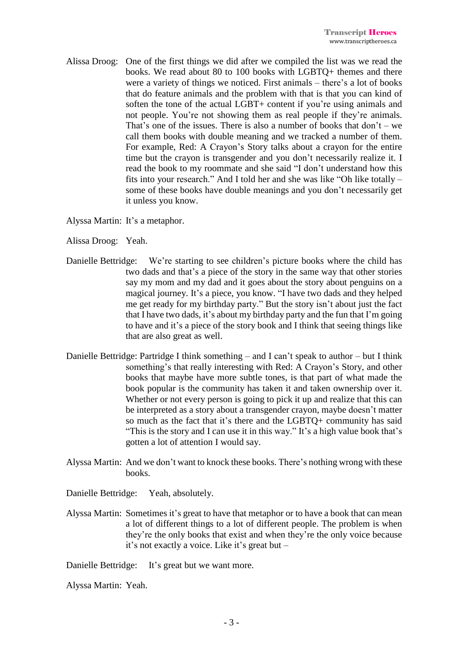Alissa Droog: One of the first things we did after we compiled the list was we read the books. We read about 80 to 100 books with LGBTQ+ themes and there were a variety of things we noticed. First animals – there's a lot of books that do feature animals and the problem with that is that you can kind of soften the tone of the actual LGBT+ content if you're using animals and not people. You're not showing them as real people if they're animals. That's one of the issues. There is also a number of books that  $don't - we$ call them books with double meaning and we tracked a number of them. For example, Red: A Crayon's Story talks about a crayon for the entire time but the crayon is transgender and you don't necessarily realize it. I read the book to my roommate and she said "I don't understand how this fits into your research." And I told her and she was like "Oh like totally – some of these books have double meanings and you don't necessarily get it unless you know.

Alyssa Martin: It's a metaphor.

Alissa Droog: Yeah.

- Danielle Bettridge: We're starting to see children's picture books where the child has two dads and that's a piece of the story in the same way that other stories say my mom and my dad and it goes about the story about penguins on a magical journey. It's a piece, you know. "I have two dads and they helped me get ready for my birthday party." But the story isn't about just the fact that I have two dads, it's about my birthday party and the fun that I'm going to have and it's a piece of the story book and I think that seeing things like that are also great as well.
- Danielle Bettridge: Partridge I think something and I can't speak to author but I think something's that really interesting with Red: A Crayon's Story, and other books that maybe have more subtle tones, is that part of what made the book popular is the community has taken it and taken ownership over it. Whether or not every person is going to pick it up and realize that this can be interpreted as a story about a transgender crayon, maybe doesn't matter so much as the fact that it's there and the LGBTQ+ community has said "This is the story and I can use it in this way." It's a high value book that's gotten a lot of attention I would say.
- Alyssa Martin: And we don't want to knock these books. There's nothing wrong with these books.

Danielle Bettridge: Yeah, absolutely.

Alyssa Martin: Sometimes it's great to have that metaphor or to have a book that can mean a lot of different things to a lot of different people. The problem is when they're the only books that exist and when they're the only voice because it's not exactly a voice. Like it's great but –

Danielle Bettridge: It's great but we want more.

Alyssa Martin: Yeah.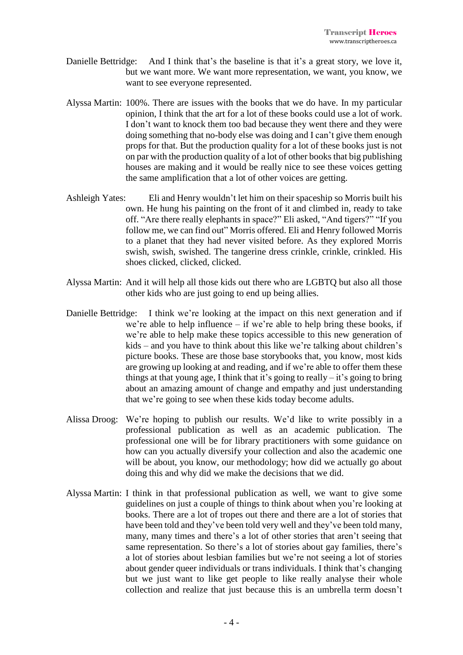- Danielle Bettridge: And I think that's the baseline is that it's a great story, we love it, but we want more. We want more representation, we want, you know, we want to see everyone represented.
- Alyssa Martin: 100%. There are issues with the books that we do have. In my particular opinion, I think that the art for a lot of these books could use a lot of work. I don't want to knock them too bad because they went there and they were doing something that no-body else was doing and I can't give them enough props for that. But the production quality for a lot of these books just is not on par with the production quality of a lot of other booksthat big publishing houses are making and it would be really nice to see these voices getting the same amplification that a lot of other voices are getting.
- Ashleigh Yates: Eli and Henry wouldn't let him on their spaceship so Morris built his own. He hung his painting on the front of it and climbed in, ready to take off. "Are there really elephants in space?" Eli asked, "And tigers?" "If you follow me, we can find out" Morris offered. Eli and Henry followed Morris to a planet that they had never visited before. As they explored Morris swish, swish, swished. The tangerine dress crinkle, crinkle, crinkled. His shoes clicked, clicked, clicked.
- Alyssa Martin: And it will help all those kids out there who are LGBTQ but also all those other kids who are just going to end up being allies.
- Danielle Bettridge: I think we're looking at the impact on this next generation and if we're able to help influence – if we're able to help bring these books, if we're able to help make these topics accessible to this new generation of kids – and you have to think about this like we're talking about children's picture books. These are those base storybooks that, you know, most kids are growing up looking at and reading, and if we're able to offer them these things at that young age, I think that it's going to really  $-$  it's going to bring about an amazing amount of change and empathy and just understanding that we're going to see when these kids today become adults.
- Alissa Droog: We're hoping to publish our results. We'd like to write possibly in a professional publication as well as an academic publication. The professional one will be for library practitioners with some guidance on how can you actually diversify your collection and also the academic one will be about, you know, our methodology; how did we actually go about doing this and why did we make the decisions that we did.
- Alyssa Martin: I think in that professional publication as well, we want to give some guidelines on just a couple of things to think about when you're looking at books. There are a lot of tropes out there and there are a lot of stories that have been told and they've been told very well and they've been told many, many, many times and there's a lot of other stories that aren't seeing that same representation. So there's a lot of stories about gay families, there's a lot of stories about lesbian families but we're not seeing a lot of stories about gender queer individuals or trans individuals. I think that's changing but we just want to like get people to like really analyse their whole collection and realize that just because this is an umbrella term doesn't